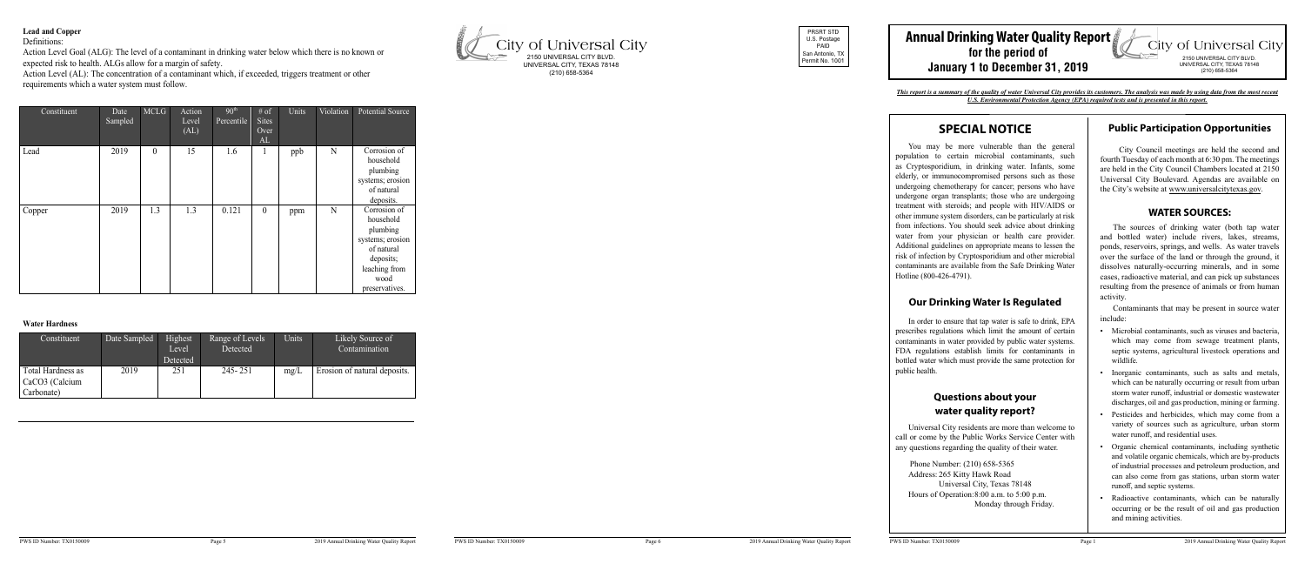#### **Lead and Copper**

Definitions:

Action Level Goal (ALG): The level of a contaminant in drinking water below which there is no known or expected risk to health. ALGs allow for a margin of safety.

Action Level (AL): The concentration of a contaminant which, if exceeded, triggers treatment or other requirements which a water system must follow.

# **SPECIAL NOTICE**

You may be more vulnerable than the general population to certain microbial contaminants, such as Cryptosporidium, in drinking water. Infants, some elderly, or immunocompromised persons such as those undergoing chemotherapy for cancer; persons who have undergone organ transplants; those who are undergoing treatment with steroids; and people with HIV/AIDS or other immune system disorders, can be particularly at risk from infections. You should seek advice about drinking water from your physician or health care provider. Additional guidelines on appropriate means to lessen the risk of infection by Cryptosporidium and other microbial contaminants are available from the Safe Drinking Water Hotline (800-426-4791).

#### **Our Drinking Water Is Regulated**

In order to ensure that tap water is safe to drink, EPA prescribes regulations which limit the amount of certain contaminants in water provided by public water systems. FDA regulations establish limits for contaminants in bottled water which must provide the same protection for public health.

## **Questions about your water quality report?**

Universal City residents are more than welcome to call or come by the Public Works Service Center with any questions regarding the quality of their water.

 Phone Number: (210) 658-5365 Address: 265 Kitty Hawk Road Universal City, Texas 78148 Hours of Operation:8:00 a.m. to 5:00 p.m. Monday through Friday.

#### **Public Participation Opportunities**

 City Council meetings are held the second and fourth Tuesday of each month at 6:30 pm. The meetings are held in the City Council Chambers located at 2150 Universal City Boulevard. Agendas are available on the City's website at www.universalcitytexas.gov.

#### **WATER SOURCES:**

#### **Annual Drinking Water Quality Report City of Universal City for the period of** 2150 UNIVERSAL CITY BLVD. **January 1 to December 31, 2019** UNIVERSAL CITY, TEXAS 78148 (210) 658-5364

The sources of drinking water (both tap water and bottled water) include rivers, lakes, streams, ponds, reservoirs, springs, and wells. As water travels over the surface of the land or through the ground, it dissolves naturally-occurring minerals, and in some cases, radioactive material, and can pick up substances resulting from the presence of animals or from human activity.

| Constituent | Date<br>Sampled | <b>MCLG</b>      | Action<br>Level<br>(AL) | 90 <sup>th</sup><br>Percentile | # of<br><b>Sites</b><br>Over<br>AL | Units | Violation | <b>Potential Source</b>                                                                                                         |
|-------------|-----------------|------------------|-------------------------|--------------------------------|------------------------------------|-------|-----------|---------------------------------------------------------------------------------------------------------------------------------|
| Lead        | 2019            | $\boldsymbol{0}$ | 15                      | 1.6                            | $\mathbf{1}$                       | ppb   | N         | Corrosion of<br>household<br>plumbing<br>systems; erosion<br>of natural<br>deposits.                                            |
| Copper      | 2019            | 1.3              | 1.3                     | 0.121                          | $\boldsymbol{0}$                   | ppm   | N         | Corrosion of<br>household<br>plumbing<br>systems; erosion<br>of natural<br>deposits;<br>leaching from<br>wood<br>preservatives. |

#### **Water Hardness**

Contaminants that may be present in source water include:

| Constituent                                       | Date Sampled | Highest<br>Level<br>Detected | Range of Levels<br>Detected | Units | Likely Source of<br>Contamination |
|---------------------------------------------------|--------------|------------------------------|-----------------------------|-------|-----------------------------------|
| Total Hardness as<br>CaCO3 (Calcium<br>Carbonate) | 2019         | 251                          | $245 - 251$                 | mg/L  | Erosion of natural deposits.      |

- Microbial contaminants, such as viruses and bacteria, which may come from sewage treatment plants, septic systems, agricultural livestock operations and wildlife.
- Inorganic contaminants, such as salts and metals, which can be naturally occurring or result from urban storm water runoff, industrial or domestic wastewater discharges, oil and gas production, mining or farming.
- Pesticides and herbicides, which may come from a variety of sources such as agriculture, urban storm water runoff, and residential uses.
- Organic chemical contaminants, including synthetic and volatile organic chemicals, which are by-products of industrial processes and petroleum production, and can also come from gas stations, urban storm water runoff, and septic systems.
- Radioactive contaminants, which can be naturally occurring or be the result of oil and gas production and mining activities.



PRSRT STD U.S. Postage PAID San Antonio, TX Permit No. 1001



*This report is a summary of the quality of water Universal City provides its customers. The analysis was made by using data from the most recent U.S. Environmental Protection Agency (EPA) required tests and is presented in this report.*